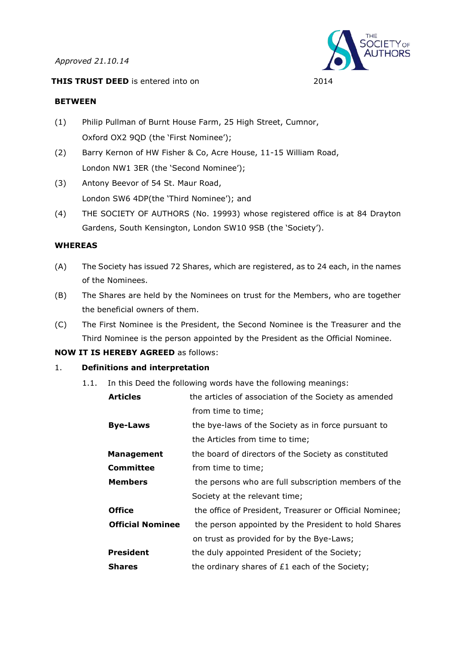*Approved 21.10.14*





#### **BETWEEN**

- (1) Philip Pullman of Burnt House Farm, 25 High Street, Cumnor, Oxford OX2 9QD (the 'First Nominee');
- (2) Barry Kernon of HW Fisher & Co, Acre House, 11-15 William Road, London NW1 3ER (the 'Second Nominee');
- (3) Antony Beevor of 54 St. Maur Road, London SW6 4DP(the 'Third Nominee'); and
- (4) THE SOCIETY OF AUTHORS (No. 19993) whose registered office is at 84 Drayton Gardens, South Kensington, London SW10 9SB (the 'Society').

# **WHEREAS**

- (A) The Society has issued 72 Shares, which are registered, as to 24 each, in the names of the Nominees.
- (B) The Shares are held by the Nominees on trust for the Members, who are together the beneficial owners of them.
- (C) The First Nominee is the President, the Second Nominee is the Treasurer and the Third Nominee is the person appointed by the President as the Official Nominee.

# **NOW IT IS HEREBY AGREED** as follows:

# 1. **Definitions and interpretation**

1.1. In this Deed the following words have the following meanings:

| <b>Articles</b>         | the articles of association of the Society as amended   |
|-------------------------|---------------------------------------------------------|
|                         | from time to time;                                      |
| <b>Bye-Laws</b>         | the bye-laws of the Society as in force pursuant to     |
|                         | the Articles from time to time;                         |
| <b>Management</b>       | the board of directors of the Society as constituted    |
| Committee               | from time to time;                                      |
| <b>Members</b>          | the persons who are full subscription members of the    |
|                         | Society at the relevant time;                           |
| <b>Office</b>           | the office of President, Treasurer or Official Nominee; |
| <b>Official Nominee</b> | the person appointed by the President to hold Shares    |
|                         | on trust as provided for by the Bye-Laws;               |
| <b>President</b>        | the duly appointed President of the Society;            |
| <b>Shares</b>           | the ordinary shares of £1 each of the Society;          |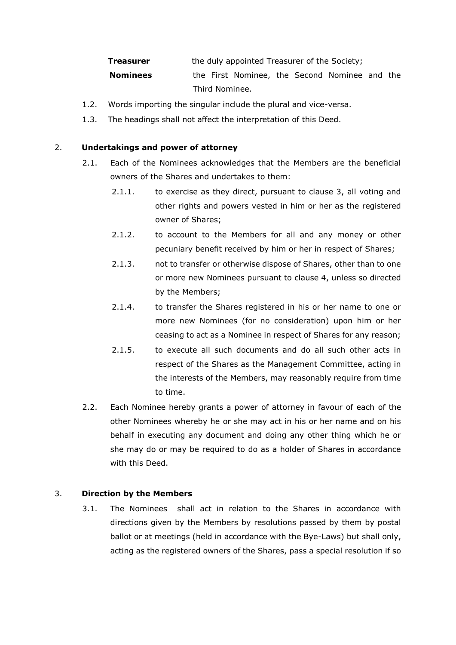| Treasurer       | the duly appointed Treasurer of the Society;  |  |  |  |  |
|-----------------|-----------------------------------------------|--|--|--|--|
| <b>Nominees</b> | the First Nominee, the Second Nominee and the |  |  |  |  |
|                 | Third Nominee.                                |  |  |  |  |

- 1.2. Words importing the singular include the plural and vice-versa.
- 1.3. The headings shall not affect the interpretation of this Deed.

#### 2. **Undertakings and power of attorney**

- 2.1. Each of the Nominees acknowledges that the Members are the beneficial owners of the Shares and undertakes to them:
	- 2.1.1. to exercise as they direct, pursuant to clause 3, all voting and other rights and powers vested in him or her as the registered owner of Shares;
	- 2.1.2. to account to the Members for all and any money or other pecuniary benefit received by him or her in respect of Shares;
	- 2.1.3. not to transfer or otherwise dispose of Shares, other than to one or more new Nominees pursuant to clause 4, unless so directed by the Members;
	- 2.1.4. to transfer the Shares registered in his or her name to one or more new Nominees (for no consideration) upon him or her ceasing to act as a Nominee in respect of Shares for any reason;
	- 2.1.5. to execute all such documents and do all such other acts in respect of the Shares as the Management Committee, acting in the interests of the Members, may reasonably require from time to time.
- 2.2. Each Nominee hereby grants a power of attorney in favour of each of the other Nominees whereby he or she may act in his or her name and on his behalf in executing any document and doing any other thing which he or she may do or may be required to do as a holder of Shares in accordance with this Deed.

# 3. **Direction by the Members**

3.1. The Nominees shall act in relation to the Shares in accordance with directions given by the Members by resolutions passed by them by postal ballot or at meetings (held in accordance with the Bye-Laws) but shall only, acting as the registered owners of the Shares, pass a special resolution if so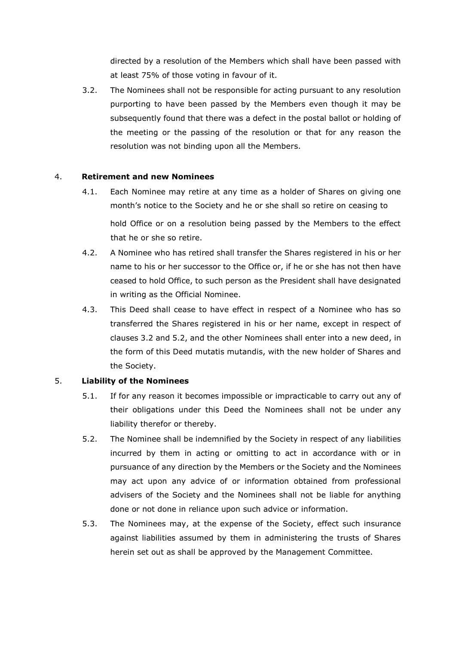directed by a resolution of the Members which shall have been passed with at least 75% of those voting in favour of it.

3.2. The Nominees shall not be responsible for acting pursuant to any resolution purporting to have been passed by the Members even though it may be subsequently found that there was a defect in the postal ballot or holding of the meeting or the passing of the resolution or that for any reason the resolution was not binding upon all the Members.

# 4. **Retirement and new Nominees**

- 4.1. Each Nominee may retire at any time as a holder of Shares on giving one month's notice to the Society and he or she shall so retire on ceasing to hold Office or on a resolution being passed by the Members to the effect that he or she so retire.
- 4.2. A Nominee who has retired shall transfer the Shares registered in his or her name to his or her successor to the Office or, if he or she has not then have ceased to hold Office, to such person as the President shall have designated in writing as the Official Nominee.
- 4.3. This Deed shall cease to have effect in respect of a Nominee who has so transferred the Shares registered in his or her name, except in respect of clauses 3.2 and 5.2, and the other Nominees shall enter into a new deed, in the form of this Deed mutatis mutandis, with the new holder of Shares and the Society.

# 5. **Liability of the Nominees**

- 5.1. If for any reason it becomes impossible or impracticable to carry out any of their obligations under this Deed the Nominees shall not be under any liability therefor or thereby.
- 5.2. The Nominee shall be indemnified by the Society in respect of any liabilities incurred by them in acting or omitting to act in accordance with or in pursuance of any direction by the Members or the Society and the Nominees may act upon any advice of or information obtained from professional advisers of the Society and the Nominees shall not be liable for anything done or not done in reliance upon such advice or information.
- 5.3. The Nominees may, at the expense of the Society, effect such insurance against liabilities assumed by them in administering the trusts of Shares herein set out as shall be approved by the Management Committee.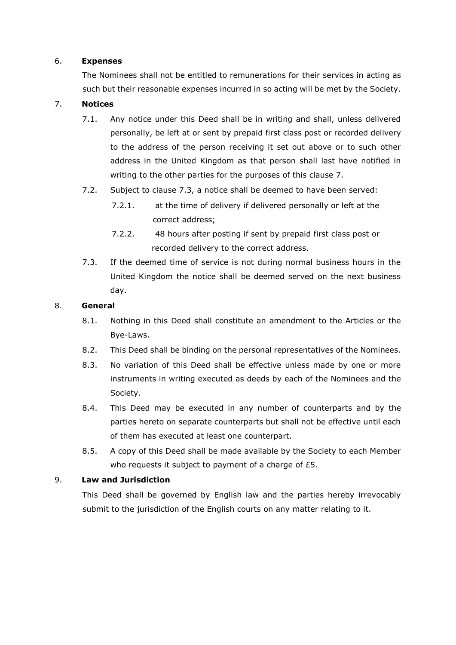#### 6. **Expenses**

The Nominees shall not be entitled to remunerations for their services in acting as such but their reasonable expenses incurred in so acting will be met by the Society.

#### 7. **Notices**

- 7.1. Any notice under this Deed shall be in writing and shall, unless delivered personally, be left at or sent by prepaid first class post or recorded delivery to the address of the person receiving it set out above or to such other address in the United Kingdom as that person shall last have notified in writing to the other parties for the purposes of this clause 7.
- 7.2. Subject to clause 7.3, a notice shall be deemed to have been served:
	- 7.2.1. at the time of delivery if delivered personally or left at the correct address;
	- 7.2.2. 48 hours after posting if sent by prepaid first class post or recorded delivery to the correct address.
- 7.3. If the deemed time of service is not during normal business hours in the United Kingdom the notice shall be deemed served on the next business day.

#### 8. **General**

- 8.1. Nothing in this Deed shall constitute an amendment to the Articles or the Bye-Laws.
- 8.2. This Deed shall be binding on the personal representatives of the Nominees.
- 8.3. No variation of this Deed shall be effective unless made by one or more instruments in writing executed as deeds by each of the Nominees and the Society.
- 8.4. This Deed may be executed in any number of counterparts and by the parties hereto on separate counterparts but shall not be effective until each of them has executed at least one counterpart.
- 8.5. A copy of this Deed shall be made available by the Society to each Member who requests it subject to payment of a charge of £5.

# 9. **Law and Jurisdiction**

This Deed shall be governed by English law and the parties hereby irrevocably submit to the jurisdiction of the English courts on any matter relating to it.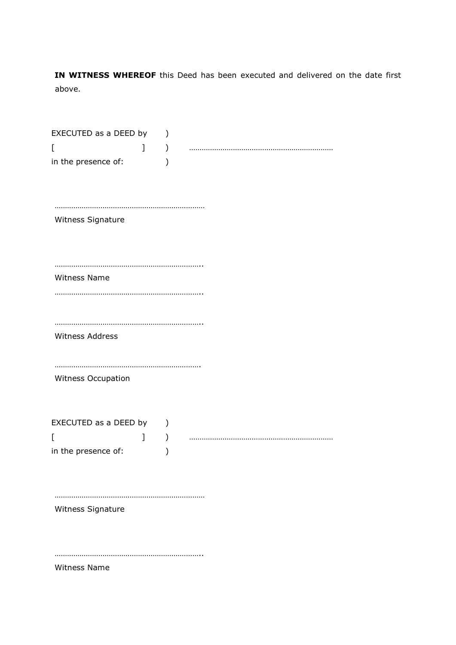**IN WITNESS WHEREOF** this Deed has been executed and delivered on the date first above.

| EXECUTED as a DEED by |   | $\mathcal{E}$ |  |
|-----------------------|---|---------------|--|
| [                     | 1 | $\mathcal{Y}$ |  |
| in the presence of:   |   |               |  |
|                       |   |               |  |
|                       |   |               |  |
| Witness Signature     |   |               |  |
|                       |   |               |  |
|                       |   |               |  |
| Witness Name          |   |               |  |
|                       |   |               |  |
|                       |   |               |  |
|                       |   |               |  |
| Witness Address       |   |               |  |
|                       |   |               |  |
|                       |   |               |  |
| Witness Occupation    |   |               |  |
|                       |   |               |  |
| EXECUTED as a DEED by |   | $\mathcal{C}$ |  |
| E                     | 1 | $\mathcal{C}$ |  |
| in the presence of:   |   |               |  |
|                       |   |               |  |
|                       |   |               |  |
| Witness Signature     |   |               |  |
|                       |   |               |  |
|                       |   |               |  |
|                       |   |               |  |
| Witness Name          |   |               |  |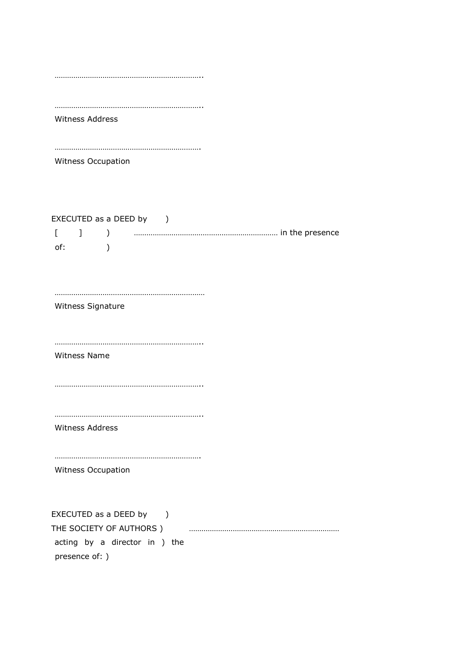|                 | Witness Address               |
|-----------------|-------------------------------|
|                 |                               |
|                 | Witness Occupation            |
|                 | EXECUTED as a DEED by )       |
| $\Gamma$<br>of: | $\mathbf{1}$<br>$\mathcal{E}$ |
|                 |                               |
|                 |                               |
|                 | Witness Signature             |
|                 |                               |
|                 | <b>Witness Name</b>           |
|                 |                               |
|                 |                               |
|                 | Witness Address               |
|                 |                               |
|                 | Witness Occupation            |
|                 | EXECUTED as a DEED by )       |
|                 | THE SOCIETY OF AUTHORS )      |
|                 | acting by a director in ) the |
|                 | presence of: )                |